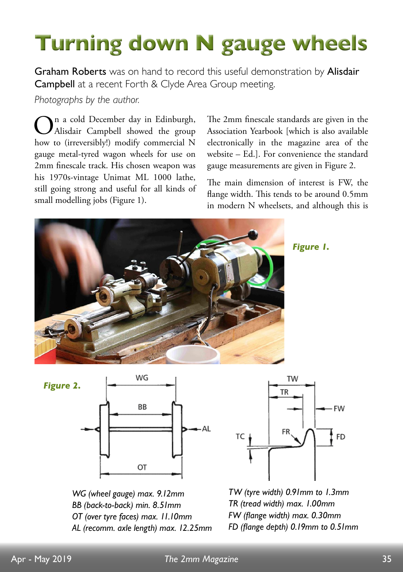## **Turning down N gauge wheels**

Graham Roberts was on hand to record this useful demonstration by Alisdair Campbell at a recent Forth & Clyde Area Group meeting.

*Photographs by the author.*

 $\sum_{\text{Alisdair}}$  Campbell showed the group how to (irreversibly!) modify commercial N gauge metal-tyred wagon wheels for use on 2mm finescale track. His chosen weapon was his 1970s-vintage Unimat ML 1000 lathe, still going strong and useful for all kinds of small modelling jobs (Figure 1).

The 2mm finescale standards are given in the Association Yearbook [which is also available electronically in the magazine area of the website – Ed.]. For convenience the standard gauge measurements are given in Figure 2.

The main dimension of interest is FW, the flange width. This tends to be around 0.5mm in modern N wheelsets, and although this is



*Figure 1.*



*WG (wheel gauge) max. 9.12mm BB (back-to-back) min. 8.51mm OT (over tyre faces) max. 11.10mm AL (recomm. axle length) max. 12.25mm*



*TW (tyre width) 0.91mm to 1.3mm TR (tread width) max. 1.00mm FW (fange width) max. 0.30mm FD (fange depth) 0.19mm to 0.51mm*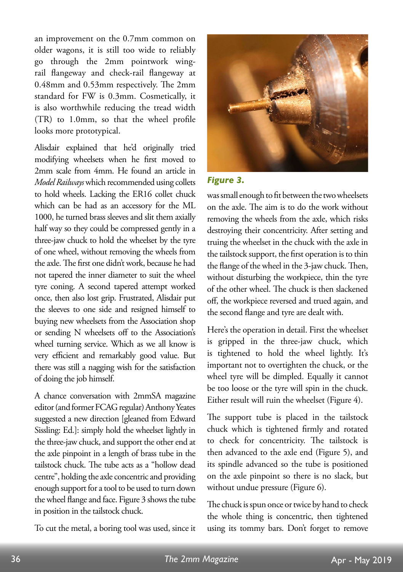an improvement on the 0.7mm common on older wagons, it is still too wide to reliably go through the 2mm pointwork wingrail flangeway and check-rail flangeway at  $0.48$ mm and  $0.53$ mm respectively. The 2mm standard for FW is 0.3mm. Cosmetically, it is also worthwhile reducing the tread width  $(TR)$  to 1.0mm, so that the wheel profile looks more prototypical.

Alisdair explained that he'd originally tried modifying wheelsets when he first moved to 2mm scale from 4mm. He found an article in *Model Railways* which recommended using collets to hold wheels. Lacking the ER16 collet chuck which can be had as an accessory for the ML 1000, he turned brass sleeves and slit them axially half way so they could be compressed gently in a three-jaw chuck to hold the wheelset by the tyre of one wheel, without removing the wheels from the axle. The first one didn't work, because he had not tapered the inner diameter to suit the wheel tyre coning. A second tapered attempt worked once, then also lost grip. Frustrated, Alisdair put the sleeves to one side and resigned himself to buying new wheelsets from the Association shop or sending N wheelsets off to the Association's wheel turning service. Which as we all know is very efficient and remarkably good value. But there was still a nagging wish for the satisfaction of doing the job himself.

A chance conversation with 2mmSA magazine editor (and former FCAG regular) Anthony Yeates suggested a new direction [gleaned from Edward Sissling: Ed.]: simply hold the wheelset lightly in the three-jaw chuck, and support the other end at the axle pinpoint in a length of brass tube in the tailstock chuck. The tube acts as a "hollow dead centre", holding the axle concentric and providing enough support for a tool to be used to turn down the wheel flange and face. Figure 3 shows the tube in position in the tailstock chuck.

To cut the metal, a boring tool was used, since it



## *Figure 3.*

was small enough to fit between the two wheelsets on the axle. The aim is to do the work without removing the wheels from the axle, which risks destroying their concentricity. After setting and truing the wheelset in the chuck with the axle in the tailstock support, the first operation is to thin the flange of the wheel in the 3-jaw chuck. Then, without disturbing the workpiece, thin the tyre of the other wheel. The chuck is then slackened off, the workpiece reversed and trued again, and the second flange and tyre are dealt with.

Here's the operation in detail. First the wheelset is gripped in the three-jaw chuck, which is tightened to hold the wheel lightly. It's important not to overtighten the chuck, or the wheel tyre will be dimpled. Equally it cannot be too loose or the tyre will spin in the chuck. Either result will ruin the wheelset (Figure 4).

The support tube is placed in the tailstock chuck which is tightened firmly and rotated to check for concentricity. The tailstock is then advanced to the axle end (Figure 5), and its spindle advanced so the tube is positioned on the axle pinpoint so there is no slack, but without undue pressure (Figure 6).

The chuck is spun once or twice by hand to check the whole thing is concentric, then tightened using its tommy bars. Don't forget to remove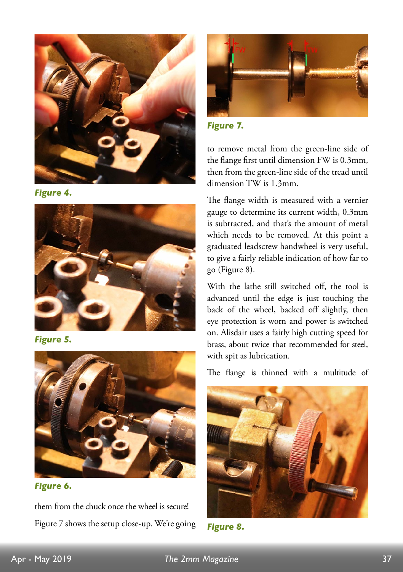

*Figure 4.*



*Figure 5.*



*Figure 6.*

them from the chuck once the wheel is secure! Figure 7 shows the setup close-up. We're going



*Figure 7.*

to remove metal from the green-line side of the flange first until dimension FW is 0.3mm, then from the green-line side of the tread until dimension TW is 1.3mm.

The flange width is measured with a vernier gauge to determine its current width, 0.3mm is subtracted, and that's the amount of metal which needs to be removed. At this point a graduated leadscrew handwheel is very useful, to give a fairly reliable indication of how far to go (Figure 8).

With the lathe still switched off, the tool is advanced until the edge is just touching the back of the wheel, backed off slightly, then eye protection is worn and power is switched on. Alisdair uses a fairly high cutting speed for brass, about twice that recommended for steel, with spit as lubrication.

The flange is thinned with a multitude of



*Figure 8.*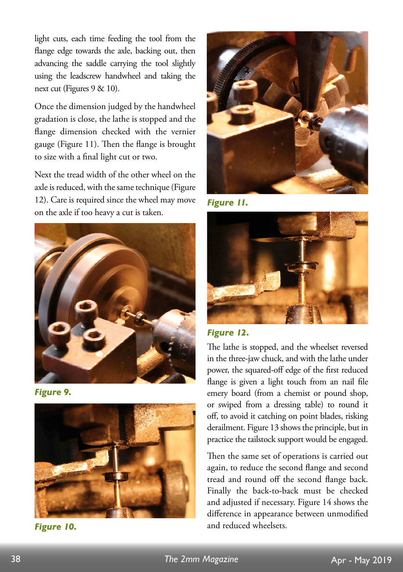light cuts, each time feeding the tool from the flange edge towards the axle, backing out, then advancing the saddle carrying the tool slightly using the leadscrew handwheel and taking the next cut (Figures 9 & 10).

Once the dimension judged by the handwheel gradation is close, the lathe is stopped and the flange dimension checked with the vernier gauge (Figure 11). Then the flange is brought to size with a final light cut or two.

Next the tread width of the other wheel on the axle is reduced, with the same technique (Figure 12). Care is required since the wheel may move on the axle if too heavy a cut is taken.



*Figure 9.*



*Figure 10.*



*Figure 11.*



*Figure 12.*

The lathe is stopped, and the wheelset reversed in the three-jaw chuck, and with the lathe under power, the squared-off edge of the first reduced flange is given a light touch from an nail file emery board (from a chemist or pound shop, or swiped from a dressing table) to round it off, to avoid it catching on point blades, risking derailment. Figure 13 shows the principle, but in practice the tailstock support would be engaged.

Then the same set of operations is carried out again, to reduce the second flange and second tread and round off the second flange back. Finally the back-to-back must be checked and adjusted if necessary. Figure 14 shows the difference in appearance between unmodified and reduced wheelsets.